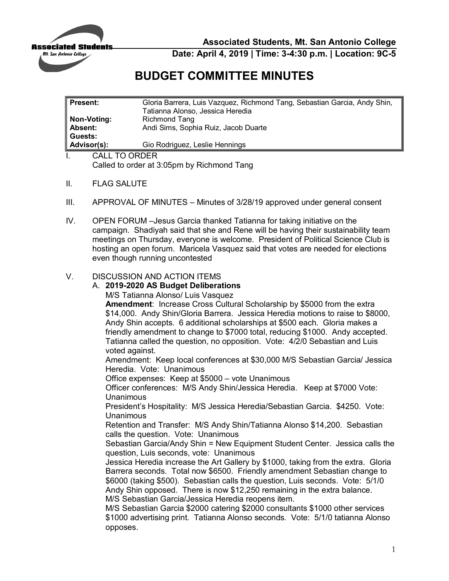

**Associated Students, Mt. San Antonio College** 

**Date: April 4, 2019 | Time: 3-4:30 p.m. | Location: 9C-5** 

## **BUDGET COMMITTEE MINUTES**

| <b>Present:</b>      | Gloria Barrera, Luis Vazquez, Richmond Tang, Sebastian Garcia, Andy Shin, |
|----------------------|---------------------------------------------------------------------------|
|                      | Tatianna Alonso, Jessica Heredia                                          |
| Non-Voting:          | Richmond Tang                                                             |
| <b>Absent:</b>       | Andi Sims, Sophia Ruiz, Jacob Duarte                                      |
| Guests:              |                                                                           |
| Advisor(s):          | Gio Rodriguez, Leslie Hennings                                            |
| <b>CALL TO ORDER</b> |                                                                           |

Called to order at 3:05pm by Richmond Tang

- II. FLAG SALUTE
- III. APPROVAL OF MINUTES Minutes of 3/28/19 approved under general consent
- campaign. Shadiyah said that she and Rene will be having their sustainability team IV. OPEN FORUM –Jesus Garcia thanked Tatianna for taking initiative on the meetings on Thursday, everyone is welcome. President of Political Science Club is hosting an open forum. Maricela Vasquez said that votes are needed for elections even though running uncontested

## V. DISCUSSION AND ACTION ITEMS

## A. **2019-2020 AS Budget Deliberations**

M/S Tatianna Alonso/ Luis Vasquez

 \$14,000. Andy Shin/Gloria Barrera. Jessica Heredia motions to raise to \$8000, Andy Shin accepts. 6 additional scholarships at \$500 each. Gloria makes a friendly amendment to change to \$7000 total, reducing \$1000. Andy accepted. Tatianna called the question, no opposition. Vote: 4/2/0 Sebastian and Luis **Amendment**: Increase Cross Cultural Scholarship by \$5000 from the extra voted against.

 Heredia. Vote: Unanimous Amendment: Keep local conferences at \$30,000 M/S Sebastian Garcia/ Jessica

Office expenses: Keep at \$5000 – vote Unanimous

 Officer conferences: M/S Andy Shin/Jessica Heredia. Keep at \$7000 Vote: Unanimous

 President's Hospitality: M/S Jessica Heredia/Sebastian Garcia. \$4250. Vote: Unanimous

 Retention and Transfer: M/S Andy Shin/Tatianna Alonso \$14,200. Sebastian calls the question. Vote: Unanimous

 Sebastian Garcia/Andy Shin = New Equipment Student Center. Jessica calls the question, Luis seconds, vote: Unanimous

 Jessica Heredia increase the Art Gallery by \$1000, taking from the extra. Gloria Barrera seconds. Total now \$6500. Friendly amendment Sebastian change to \$6000 (taking \$500). Sebastian calls the question, Luis seconds. Vote: 5/1/0 Andy Shin opposed. There is now \$12,250 remaining in the extra balance. M/S Sebastian Garcia/Jessica Heredia reopens item.

 \$1000 advertising print. Tatianna Alonso seconds. Vote: 5/1/0 tatianna Alonso M/S Sebastian Garcia \$2000 catering \$2000 consultants \$1000 other services opposes.